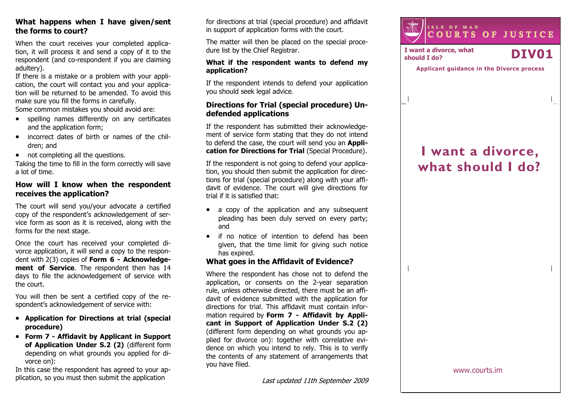## What happens when I have given/sent the forms to court?

When the court receives your completed application, it will process it and send a copy of it to the respondent (and co-respondent if you are claiming adultery).

 If there is a mistake or a problem with your application, the court will contact you and your applica tion will be returned to be amended. To avoid this make sure you fill the forms in carefully.

Some common mistakes you should avoid are:

- spelling names differently on any certificates and the application form;
- incorrect dates of birth or names of the children; and
- not completing all the questions.

 Taking the time to fill in the form correctly will save a lot of time.

# How will I know when the respondent receives the application?

The court will send you/your advocate a certified copy of the respondent's acknowledgement of service form as soon as it is received, along with theforms for the next stage.

Once the court has received your completed divorce application, it will send a copy to the respondent with 2(3) copies of Form 6 - Acknowledgement of Service. The respondent then has 14 days to file the acknowledgement of service with the court.

You will then be sent a certified copy of the respondent's acknowledgement of service with:

- Application for Directions at trial (special procedure)
- Form 7 Affidavit by Applicant in Support of Application Under S.2 (2) (different form depending on what grounds you applied for divorce on):

 In this case the respondent has agreed to your application, so you must then submit the application

for directions at trial (special procedure) and affidavit in support of application forms with the court.

The matter will then be placed on the special procedure list by the Chief Registrar.

#### What if the respondent wants to defend my application?

If the respondent intends to defend your application you should seek legal advice.

# Directions for Trial (special procedure) Undefended applications

If the respondent has submitted their acknowledgement of service form stating that they do not intend to defend the case, the court will send you an Application for Directions for Trial (Special Procedure).

If the respondent is not going to defend your application, you should then submit the application for directions for trial (special procedure) along with your affidavit of evidence. The court will give directions for trial if it is satisfied that:

- a copy of the application and any subsequent pleading has been duly served on every party; and
- if no notice of intention to defend has been given, that the time limit for giving such notice has expired.

# What goes in the Affidavit of Evidence?

Where the respondent has chose not to defend the application, or consents on the 2-year separation rule, unless otherwise directed, there must be an affidavit of evidence submitted with the application for directions for trial. This affidavit must contain information required by Form 7 - Affidavit by Applicant in Support of Application Under S.2 (2) (different form depending on what grounds you applied for divorce on): together with correlative evidence on which you intend to rely. This is to verify the contents of any statement of arrangements that you have filed.



I want a divorce, what I want a divorce, what  $\sum_{\text{should I do?}}$ 

 $\overline{\phantom{a}}$ 

Applicant guidance in the Divorce process

# I want a divorce, what should I do?

www.courts.im